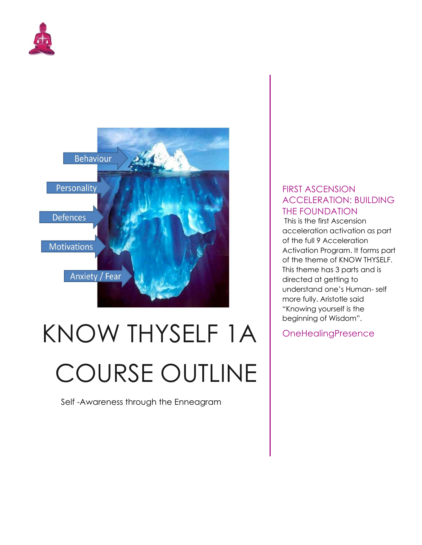



# KNOW THYSELF 1A COURSE OUTLINE

Self -Awareness through the Enneagram

## FIRST ASCENSION ACCELERATION: BUILDING THE FOUNDATION

 This is the first Ascension acceleration activation as part of the full 9 Acceleration Activation Program. It forms part of the theme of KNOW THYSELF. This theme has 3 parts and is directed at getting to understand one's Human- self more fully. Aristotle said "Knowing yourself is the beginning of Wisdom".

**OneHealingPresence**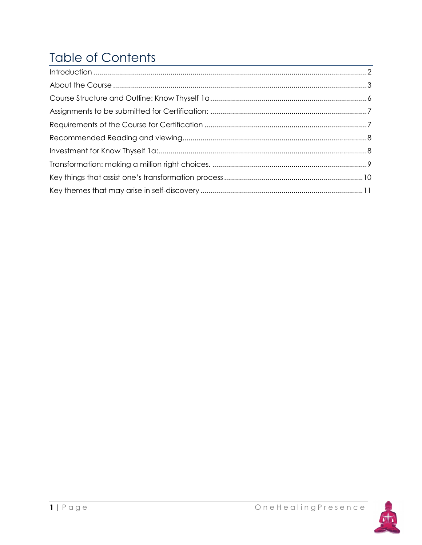# **Table of Contents**

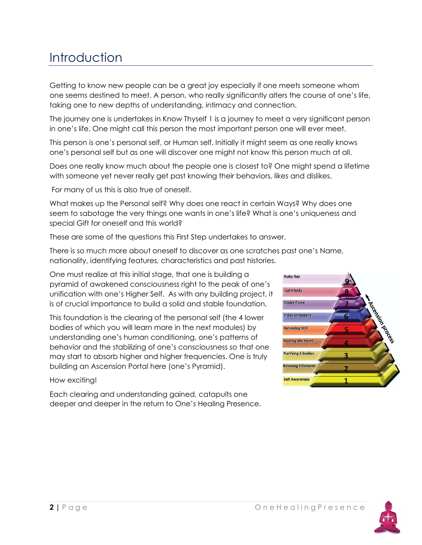# **Introduction**

Getting to know new people can be a great joy especially if one meets someone whom one seems destined to meet. A person, who really significantly alters the course of one's life, taking one to new depths of understanding, intimacy and connection.

The journey one is undertakes in Know Thyself 1 is a journey to meet a very significant person in one's life. One might call this person the most important person one will ever meet.

This person is one's personal self, or Human self. Initially it might seem as one really knows one's personal self but as one will discover one might not know this person much at all.

Does one really know much about the people one is closest to? One might spend a lifetime with someone yet never really get past knowing their behaviors, likes and dislikes.

For many of us this is also true of oneself.

What makes up the Personal self? Why does one react in certain Ways? Why does one seem to sabotage the very things one wants in one's life? What is one's uniqueness and special Gift for oneself and this world?

These are some of the questions this First Step undertakes to answer.

There is so much more about oneself to discover as one scratches past one's Name, nationality, identifying features, characteristics and past histories.

One must realize at this initial stage, that one is building a pyramid of awakened consciousness right to the peak of one's unification with one's Higher Self. As with any building project, it is of crucial importance to build a solid and stable foundation.

This foundation is the clearing of the personal self (the 4 lower bodies of which you will learn more in the next modules) by understanding one's human conditioning, one's patterns of behavior and the stabilizing of one's consciousness so that one may start to absorb higher and higher frequencies. One is truly building an Ascension Portal here (one's Pyramid).

### How exciting!

Each clearing and understanding gained, catapults one deeper and deeper in the return to One's Healing Presence.



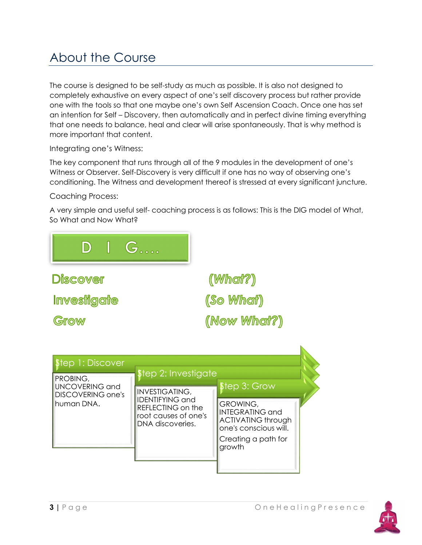# About the Course

The course is designed to be self-study as much as possible. It is also not designed to completely exhaustive on every aspect of one's self discovery process but rather provide one with the tools so that one maybe one's own Self Ascension Coach. Once one has set an intention for Self – Discovery, then automatically and in perfect divine timing everything that one needs to balance, heal and clear will arise spontaneously. That is why method is more important that content.

Integrating one's Witness:

The key component that runs through all of the 9 modules in the development of one's Witness or Observer. Self-Discovery is very difficult if one has no way of observing one's conditioning. The Witness and development thereof is stressed at every significant juncture.

Coaching Process:

A very simple and useful self- coaching process is as follows: This is the DIG model of What, So What and Now What?





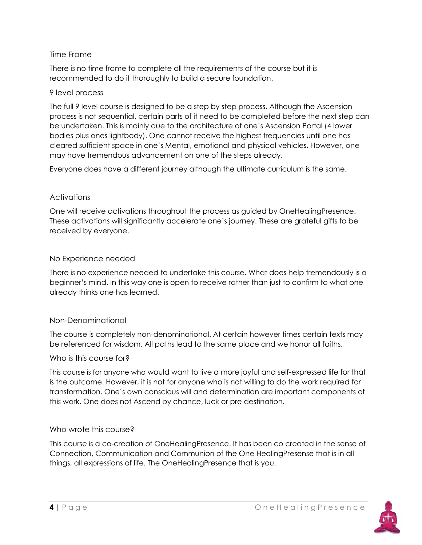## Time Frame

There is no time frame to complete all the requirements of the course but it is recommended to do it thoroughly to build a secure foundation.

## 9 level process

The full 9 level course is designed to be a step by step process. Although the Ascension process is not sequential, certain parts of it need to be completed before the next step can be undertaken. This is mainly due to the architecture of one's Ascension Portal (4 lower bodies plus ones lightbody). One cannot receive the highest frequencies until one has cleared sufficient space in one's Mental, emotional and physical vehicles. However, one may have tremendous advancement on one of the steps already.

Everyone does have a different journey although the ultimate curriculum is the same.

## **Activations**

One will receive activations throughout the process as guided by OneHealingPresence. These activations will significantly accelerate one's journey. These are grateful gifts to be received by everyone.

## No Experience needed

There is no experience needed to undertake this course. What does help tremendously is a beginner's mind. In this way one is open to receive rather than just to confirm to what one already thinks one has learned.

### Non-Denominational

The course is completely non-denominational. At certain however times certain texts may be referenced for wisdom. All paths lead to the same place and we honor all faiths.

### Who is this course for?

This course is for anyone who would want to live a more joyful and self-expressed life for that is the outcome. However, it is not for anyone who is not willing to do the work required for transformation. One's own conscious will and determination are important components of this work. One does not Ascend by chance, luck or pre destination.

### Who wrote this course?

This course is a co-creation of OneHealingPresence. It has been co created in the sense of Connection, Communication and Communion of the One HealingPresense that is in all things, all expressions of life. The OneHealingPresence that is you.

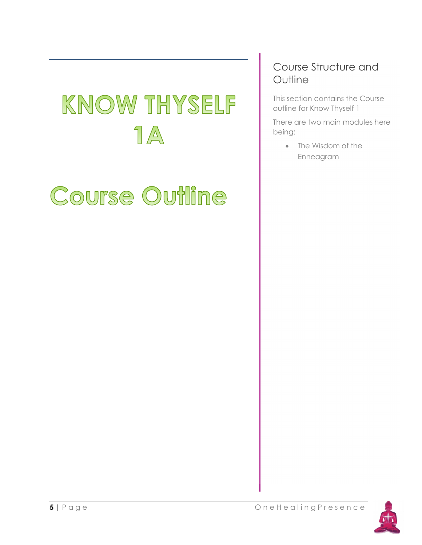# **KNOW THYSELF**  $\eta$   $\mathbb{A}$

# Course Outline

## Course Structure and **Outline**

This section contains the Course outline for Know Thyself 1

There are two main modules here being:

> • The Wisdom of the Enneagram

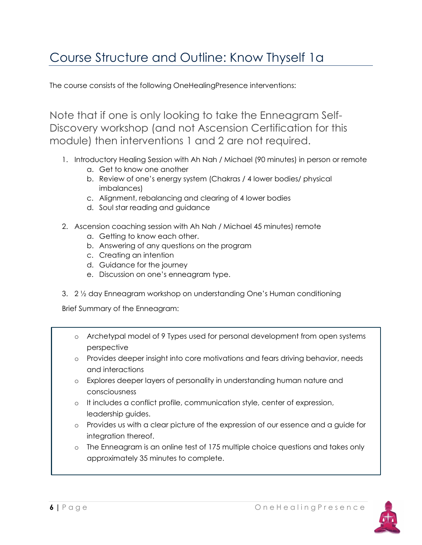# Course Structure and Outline: Know Thyself 1a

The course consists of the following OneHealingPresence interventions:

Note that if one is only looking to take the Enneagram Self-Discovery workshop (and not Ascension Certification for this module) then interventions 1 and 2 are not required.

- 1. Introductory Healing Session with Ah Nah / Michael (90 minutes) in person or remote
	- a. Get to know one another
	- b. Review of one's energy system (Chakras / 4 lower bodies/ physical imbalances)
	- c. Alignment, rebalancing and clearing of 4 lower bodies
	- d. Soul star reading and guidance
- 2. Ascension coaching session with Ah Nah / Michael 45 minutes) remote
	- a. Getting to know each other.
	- b. Answering of any questions on the program
	- c. Creating an intention
	- d. Guidance for the journey
	- e. Discussion on one's enneagram type.
- 3. 2 ½ day Enneagram workshop on understanding One's Human conditioning

Brief Summary of the Enneagram:

- o Archetypal model of 9 Types used for personal development from open systems perspective
- o Provides deeper insight into core motivations and fears driving behavior, needs and interactions
- o Explores deeper layers of personality in understanding human nature and consciousness
- o It includes a conflict profile, communication style, center of expression, leadership guides.
- o Provides us with a clear picture of the expression of our essence and a guide for integration thereof.
- o The Enneagram is an online test of 175 multiple choice questions and takes only approximately 35 minutes to complete.

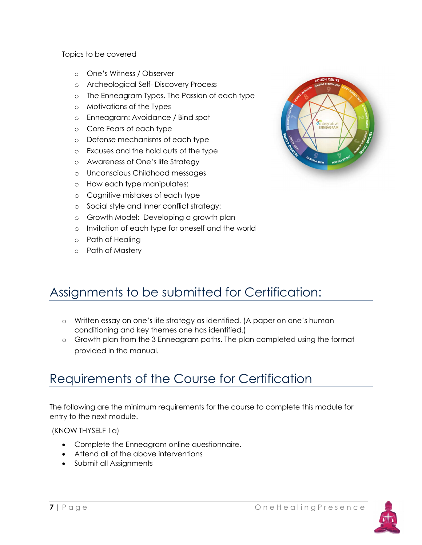Topics to be covered

- o One's Witness / Observer
- o Archeological Self- Discovery Process
- o The Enneagram Types. The Passion of each type
- o Motivations of the Types
- o Enneagram: Avoidance / Bind spot
- o Core Fears of each type
- o Defense mechanisms of each type
- o Excuses and the hold outs of the type
- o Awareness of One's life Strategy
- o Unconscious Childhood messages
- o How each type manipulates:
- o Cognitive mistakes of each type
- o Social style and Inner conflict strategy:
- o Growth Model: Developing a growth plan
- o Invitation of each type for oneself and the world
- o Path of Healing
- o Path of Mastery



## Assignments to be submitted for Certification:

- o Written essay on one's life strategy as identified. (A paper on one's human conditioning and key themes one has identified.)
- o Growth plan from the 3 Enneagram paths. The plan completed using the format provided in the manual.

## Requirements of the Course for Certification

The following are the minimum requirements for the course to complete this module for entry to the next module.

(KNOW THYSELF 1a)

- Complete the Enneagram online questionnaire.
- Attend all of the above interventions
- Submit all Assignments

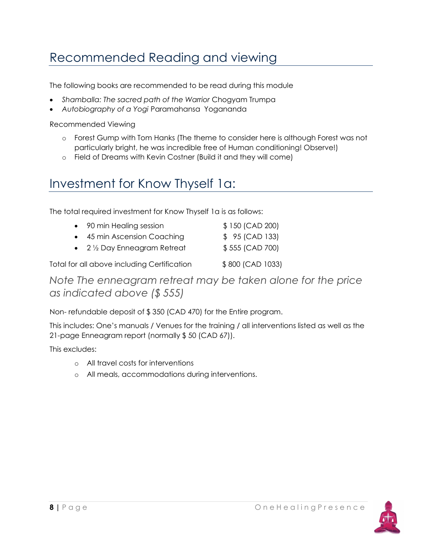# Recommended Reading and viewing

The following books are recommended to be read during this module

- Shamballa: The sacred path of the Warrior Chogyam Trumpa
- Autobiography of a Yogi Paramahansa Yogananda

Recommended Viewing

- o Forest Gump with Tom Hanks (The theme to consider here is although Forest was not particularly bright, he was incredible free of Human conditioning! Observe!)
- o Field of Dreams with Kevin Costner (Build it and they will come)

## Investment for Know Thyself 1a:

The total required investment for Know Thyself 1a is as follows:

| • 90 min Healing session                        | \$150 (CAD 200)  |
|-------------------------------------------------|------------------|
| • 45 min Ascension Coaching                     | $$95$ (CAD 133)  |
| $\bullet$ 2 $\frac{1}{2}$ Day Enneagram Retreat | \$555 (CAD 700)  |
| Total for all above including Certification     | \$800 (CAD 1033) |

Note The enneagram retreat may be taken alone for the price as indicated above (\$ 555)

Non- refundable deposit of \$ 350 (CAD 470) for the Entire program.

This includes: One's manuals / Venues for the training / all interventions listed as well as the 21-page Enneagram report (normally \$ 50 (CAD 67)).

This excludes:

- o All travel costs for interventions
- o All meals, accommodations during interventions.

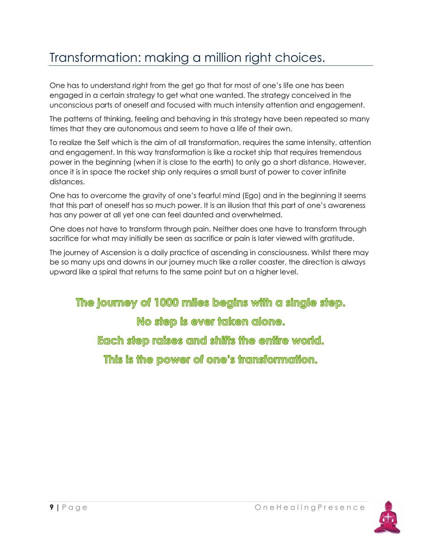# Transformation: making a million right choices.

One has to understand right from the get go that for most of one's life one has been engaged in a certain strategy to get what one wanted. The strategy conceived in the unconscious parts of oneself and focused with much intensity attention and engagement.

The patterns of thinking, feeling and behaving in this strategy have been repeated so many times that they are autonomous and seem to have a life of their own.

To realize the Self which is the aim of all transformation, requires the same intensity, attention and engagement. In this way transformation is like a rocket ship that requires tremendous power in the beginning (when it is close to the earth) to only go a short distance. However, once it is in space the rocket ship only requires a small burst of power to cover infinite distances.

One has to overcome the gravity of one's fearful mind (Ego) and in the beginning it seems that this part of oneself has so much power. It is an illusion that this part of one's awareness has any power at all yet one can feel daunted and overwhelmed.

One does not have to transform through pain. Neither does one have to transform through sacrifice for what may initially be seen as sacrifice or pain is later viewed with gratitude.

The journey of Ascension is a daily practice of ascending in consciousness. Whilst there may be so many ups and downs in our journey much like a roller coaster, the direction is always upward like a spiral that returns to the same point but on a higher level.

The journey of 1000 miles begins with a single step.

No step is ever taken alone.

Each step raises and shifts the entire world.

This is the power of one's transformation.

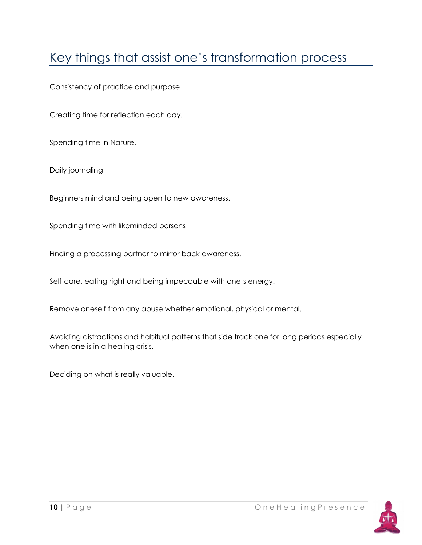# Key things that assist one's transformation process

Consistency of practice and purpose

Creating time for reflection each day.

Spending time in Nature.

Daily journaling

Beginners mind and being open to new awareness.

Spending time with likeminded persons

Finding a processing partner to mirror back awareness.

Self-care, eating right and being impeccable with one's energy.

Remove oneself from any abuse whether emotional, physical or mental.

Avoiding distractions and habitual patterns that side track one for long periods especially when one is in a healing crisis.

Deciding on what is really valuable.

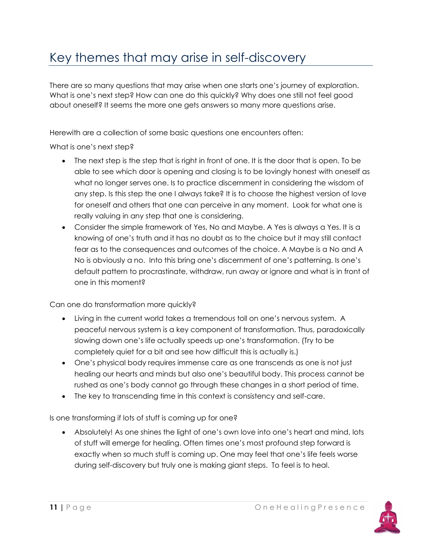# Key themes that may arise in self-discovery

There are so many questions that may arise when one starts one's journey of exploration. What is one's next step? How can one do this quickly? Why does one still not feel good about oneself? It seems the more one gets answers so many more questions arise.

Herewith are a collection of some basic questions one encounters often:

What is one's next step?

- The next step is the step that is right in front of one. It is the door that is open. To be able to see which door is opening and closing is to be lovingly honest with oneself as what no longer serves one. Is to practice discernment in considering the wisdom of any step. Is this step the one I always take? It is to choose the highest version of love for oneself and others that one can perceive in any moment. Look for what one is really valuing in any step that one is considering.
- Consider the simple framework of Yes, No and Maybe. A Yes is always a Yes. It is a knowing of one's truth and it has no doubt as to the choice but it may still contact fear as to the consequences and outcomes of the choice. A Maybe is a No and A No is obviously a no. Into this bring one's discernment of one's patterning. Is one's default pattern to procrastinate, withdraw, run away or ignore and what is in front of one in this moment?

Can one do transformation more quickly?

- Living in the current world takes a tremendous toll on one's nervous system. A peaceful nervous system is a key component of transformation. Thus, paradoxically slowing down one's life actually speeds up one's transformation. (Try to be completely quiet for a bit and see how difficult this is actually is.)
- One's physical body requires immense care as one transcends as one is not just healing our hearts and minds but also one's beautiful body. This process cannot be rushed as one's body cannot go through these changes in a short period of time.
- The key to transcending time in this context is consistency and self-care.

Is one transforming if lots of stuff is coming up for one?

 Absolutely! As one shines the light of one's own love into one's heart and mind, lots of stuff will emerge for healing. Often times one's most profound step forward is exactly when so much stuff is coming up. One may feel that one's life feels worse during self-discovery but truly one is making giant steps. To feel is to heal.

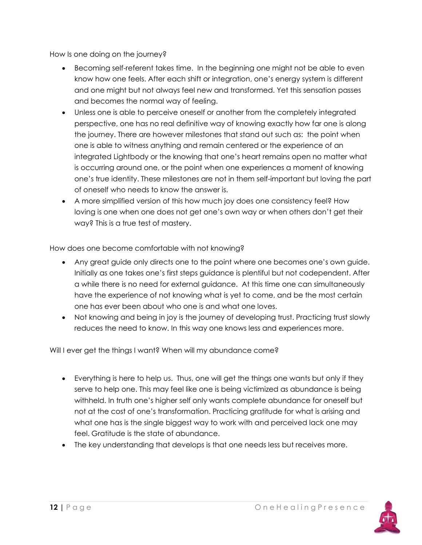How Is one doing on the journey?

- Becoming self-referent takes time. In the beginning one might not be able to even know how one feels. After each shift or integration, one's energy system is different and one might but not always feel new and transformed. Yet this sensation passes and becomes the normal way of feeling.
- Unless one is able to perceive oneself or another from the completely integrated perspective, one has no real definitive way of knowing exactly how far one is along the journey. There are however milestones that stand out such as: the point when one is able to witness anything and remain centered or the experience of an integrated Lightbody or the knowing that one's heart remains open no matter what is occurring around one, or the point when one experiences a moment of knowing one's true identity. These milestones are not in them self-important but loving the part of oneself who needs to know the answer is.
- A more simplified version of this how much joy does one consistency feel? How loving is one when one does not get one's own way or when others don't get their way? This is a true test of mastery.

How does one become comfortable with not knowing?

- Any great guide only directs one to the point where one becomes one's own guide. Initially as one takes one's first steps guidance is plentiful but not codependent. After a while there is no need for external guidance. At this time one can simultaneously have the experience of not knowing what is yet to come, and be the most certain one has ever been about who one is and what one loves.
- Not knowing and being in joy is the journey of developing trust. Practicing trust slowly reduces the need to know. In this way one knows less and experiences more.

Will I ever get the things I want? When will my abundance come?

- Everything is here to help us. Thus, one will get the things one wants but only if they serve to help one. This may feel like one is being victimized as abundance is being withheld. In truth one's higher self only wants complete abundance for oneself but not at the cost of one's transformation. Practicing gratitude for what is arising and what one has is the single biggest way to work with and perceived lack one may feel. Gratitude is the state of abundance.
- The key understanding that develops is that one needs less but receives more.